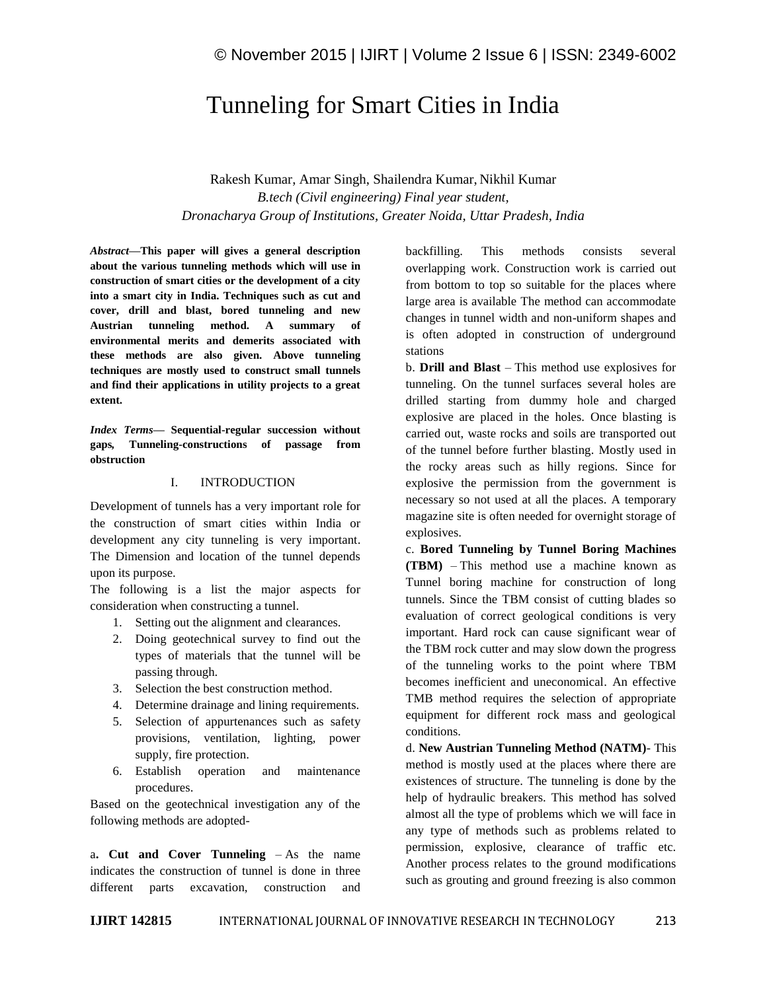# Tunneling for Smart Cities in India

Rakesh Kumar, Amar Singh, Shailendra Kumar, Nikhil Kumar *B.tech (Civil engineering) Final year student, Dronacharya Group of Institutions, Greater Noida, Uttar Pradesh, India*

*Abstract—***This paper will gives a general description about the various tunneling methods which will use in construction of smart cities or the development of a city into a smart city in India. Techniques such as cut and cover, drill and blast, bored tunneling and new Austrian tunneling method. A summary of environmental merits and demerits associated with these methods are also given. Above tunneling techniques are mostly used to construct small tunnels and find their applications in utility projects to a great extent.**

*Index Terms—* **Sequential-regular succession without gaps***,* **Tunneling-constructions of passage from obstruction**

### I. INTRODUCTION

Development of tunnels has a very important role for the construction of smart cities within India or development any city tunneling is very important. The Dimension and location of the tunnel depends upon its purpose.

The following is a list the major aspects for consideration when constructing a tunnel.

- 1. Setting out the alignment and clearances.
- 2. Doing geotechnical survey to find out the types of materials that the tunnel will be passing through.
- 3. Selection the best construction method.
- 4. Determine drainage and lining requirements.
- 5. Selection of appurtenances such as safety provisions, ventilation, lighting, power supply, fire protection.
- 6. Establish operation and maintenance procedures.

Based on the geotechnical investigation any of the following methods are adopted-

a**. Cut and Cover Tunneling** – As the name indicates the construction of tunnel is done in three different parts excavation, construction and

backfilling. This methods consists several overlapping work. Construction work is carried out from bottom to top so suitable for the places where large area is available The method can accommodate changes in tunnel width and non-uniform shapes and is often adopted in construction of underground stations

b. **Drill and Blast** – This method use explosives for tunneling. On the tunnel surfaces several holes are drilled starting from dummy hole and charged explosive are placed in the holes. Once blasting is carried out, waste rocks and soils are transported out of the tunnel before further blasting. Mostly used in the rocky areas such as hilly regions. Since for explosive the permission from the government is necessary so not used at all the places. A temporary magazine site is often needed for overnight storage of explosives.

c. **Bored Tunneling by Tunnel Boring Machines (TBM)** – This method use a machine known as Tunnel boring machine for construction of long tunnels. Since the TBM consist of cutting blades so evaluation of correct geological conditions is very important. Hard rock can cause significant wear of the TBM rock cutter and may slow down the progress of the tunneling works to the point where TBM becomes inefficient and uneconomical. An effective TMB method requires the selection of appropriate equipment for different rock mass and geological conditions.

d. **New Austrian Tunneling Method (NATM)**- This method is mostly used at the places where there are existences of structure. The tunneling is done by the help of hydraulic breakers. This method has solved almost all the type of problems which we will face in any type of methods such as problems related to permission, explosive, clearance of traffic etc. Another process relates to the ground modifications such as grouting and ground freezing is also common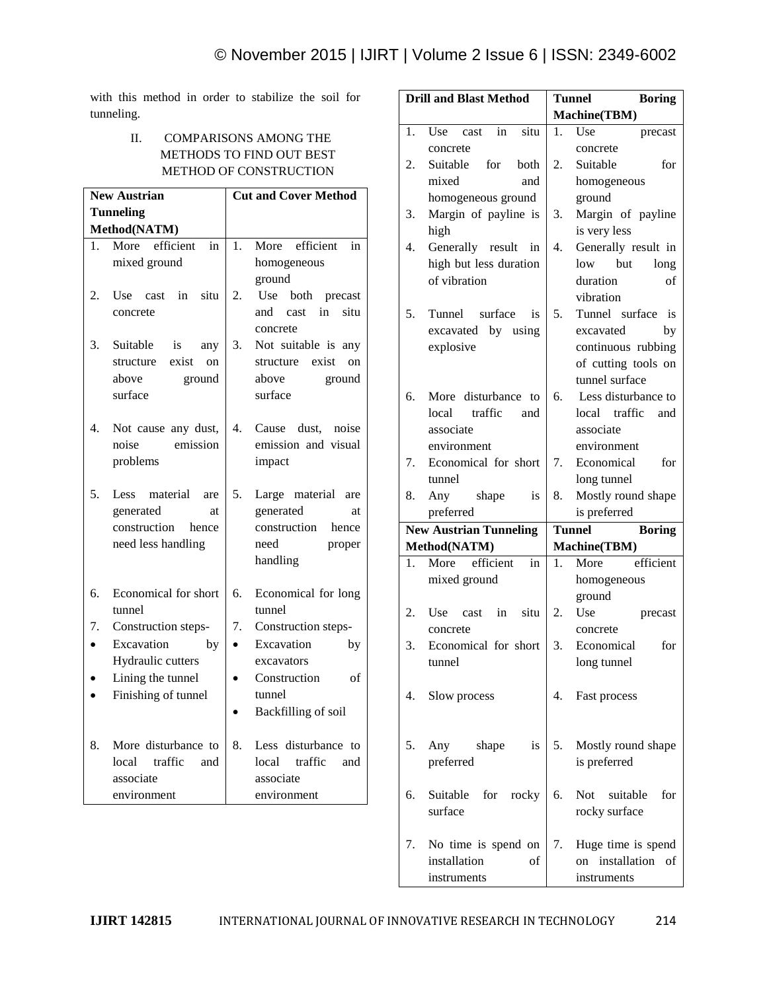with this method in order to stabilize the soil for tunneling.

# II. COMPARISONS AMONG THE METHODS TO FIND OUT BEST METHOD OF CONSTRUCTION

| <b>New Austrian</b> |                                                   | <b>Cut and Cover Method</b>                              |  |  |
|---------------------|---------------------------------------------------|----------------------------------------------------------|--|--|
|                     | <b>Tunneling</b>                                  |                                                          |  |  |
|                     | Method(NATM)                                      |                                                          |  |  |
| 1.                  | efficient<br>More<br>in                           | More efficient<br>in<br>1.                               |  |  |
|                     | mixed ground                                      | homogeneous                                              |  |  |
|                     |                                                   | ground                                                   |  |  |
| 2.                  | Use cast<br>in<br>situ                            | 2.<br>Use<br>both precast                                |  |  |
|                     | concrete                                          | in<br>situ<br>cast<br>and                                |  |  |
|                     |                                                   | concrete                                                 |  |  |
| 3.                  | Suitable<br>is<br>any<br>exist<br>structure<br>on | 3.<br>Not suitable is<br>any<br>structure<br>exist<br>on |  |  |
|                     | above<br>ground                                   | above<br>ground                                          |  |  |
|                     | surface                                           | surface                                                  |  |  |
|                     |                                                   |                                                          |  |  |
| 4.                  | Not cause any dust,                               | 4.<br>Cause dust, noise                                  |  |  |
|                     | emission<br>noise                                 | emission and visual                                      |  |  |
|                     | problems                                          | impact                                                   |  |  |
|                     |                                                   |                                                          |  |  |
| 5.                  | Less material are                                 | 5.<br>Large material are                                 |  |  |
|                     | generated<br>at                                   | generated<br>at                                          |  |  |
|                     | construction<br>hence<br>need less handling       | construction<br>hence<br>need                            |  |  |
|                     |                                                   | proper<br>handling                                       |  |  |
|                     |                                                   |                                                          |  |  |
| 6.                  | Economical for short                              | 6.<br>Economical for long                                |  |  |
|                     | tunnel                                            | tunnel                                                   |  |  |
| 7.                  | Construction steps-                               | 7.<br>Construction steps-                                |  |  |
|                     | Excavation<br>by                                  | Excavation<br>by                                         |  |  |
|                     | Hydraulic cutters                                 | excavators                                               |  |  |
|                     | Lining the tunnel                                 | Construction<br>of                                       |  |  |
|                     | Finishing of tunnel                               | tunnel                                                   |  |  |
|                     |                                                   | Backfilling of soil                                      |  |  |
| 8.                  | More disturbance to                               | 8.<br>Less disturbance to                                |  |  |
|                     | traffic<br>local<br>and                           | traffic<br>local<br>and                                  |  |  |
|                     | associate                                         | associate                                                |  |  |
|                     | environment                                       | environment                                              |  |  |

| <b>Drill and Blast Method</b> |                                   | <b>Tunnel</b><br><b>Boring</b> |                                         |
|-------------------------------|-----------------------------------|--------------------------------|-----------------------------------------|
|                               |                                   |                                | Machine(TBM)                            |
| 1.                            | Use<br>in<br>cast<br>situ         | 1.                             | Use<br>precast                          |
|                               | concrete                          |                                | concrete                                |
| 2.                            | Suitable<br>for<br><b>both</b>    | 2.                             | Suitable<br>for                         |
|                               | mixed<br>and                      |                                | homogeneous                             |
|                               | homogeneous ground                |                                | ground                                  |
| 3.                            | Margin of payline is              | 3.                             | Margin of payline                       |
|                               | high                              |                                | is very less                            |
| 4.                            | Generally result in               | 4.                             | Generally result in                     |
|                               | high but less duration            |                                | low but<br>long                         |
|                               | of vibration                      |                                | duration<br>of                          |
|                               |                                   |                                | vibration                               |
| 5.                            | Tunnel surface<br>is              | 5.                             | Tunnel surface<br>is                    |
|                               | excavated by using                |                                | excavated<br>by                         |
|                               | explosive                         |                                | continuous rubbing                      |
|                               |                                   |                                | of cutting tools on                     |
|                               |                                   |                                | tunnel surface                          |
| 6.                            | More disturbance to               | 6.                             | Less disturbance to                     |
|                               | local<br>traffic<br>and           |                                | local traffic<br>and                    |
|                               | associate                         |                                | associate                               |
|                               | environment                       |                                | environment                             |
| 7.                            | Economical for short              | 7.                             | Economical<br>for                       |
|                               | tunnel                            |                                | long tunnel                             |
| 8.                            | Any shape<br><i>is</i>            | 8.                             | Mostly round shape                      |
|                               |                                   |                                |                                         |
|                               | preferred                         |                                | is preferred                            |
|                               | <b>New Austrian Tunneling</b>     | <b>Tunnel</b>                  | <b>Boring</b>                           |
|                               | Method(NATM)                      |                                | <b>Machine(TBM)</b>                     |
| 1.                            | More efficient<br>in              | 1.                             | efficient<br>More                       |
|                               | mixed ground                      |                                | homogeneous                             |
|                               |                                   |                                | ground                                  |
| 2.                            | in<br>situ<br>Use<br>cast         | 2.                             | Use<br>precast                          |
|                               | concrete                          |                                | concrete                                |
| 3.                            | Economical for short              | 3.                             | Economical for                          |
|                               | tunnel                            |                                | long tunnel                             |
|                               |                                   |                                |                                         |
| 4.                            | Slow process                      | 4.                             | Fast process                            |
|                               |                                   |                                |                                         |
|                               |                                   |                                |                                         |
| 5.                            | shape<br>is<br>Any                |                                | 5. Mostly round shape                   |
|                               | preferred                         |                                | is preferred                            |
|                               |                                   |                                |                                         |
| 6.                            | Suitable for rocky                | 6.                             | Not suitable<br>for                     |
|                               | surface                           |                                | rocky surface                           |
|                               |                                   |                                |                                         |
| 7.                            | No time is spend on               | 7.                             | Huge time is spend                      |
|                               | installation<br>οf<br>instruments |                                | installation<br>οf<br>on<br>instruments |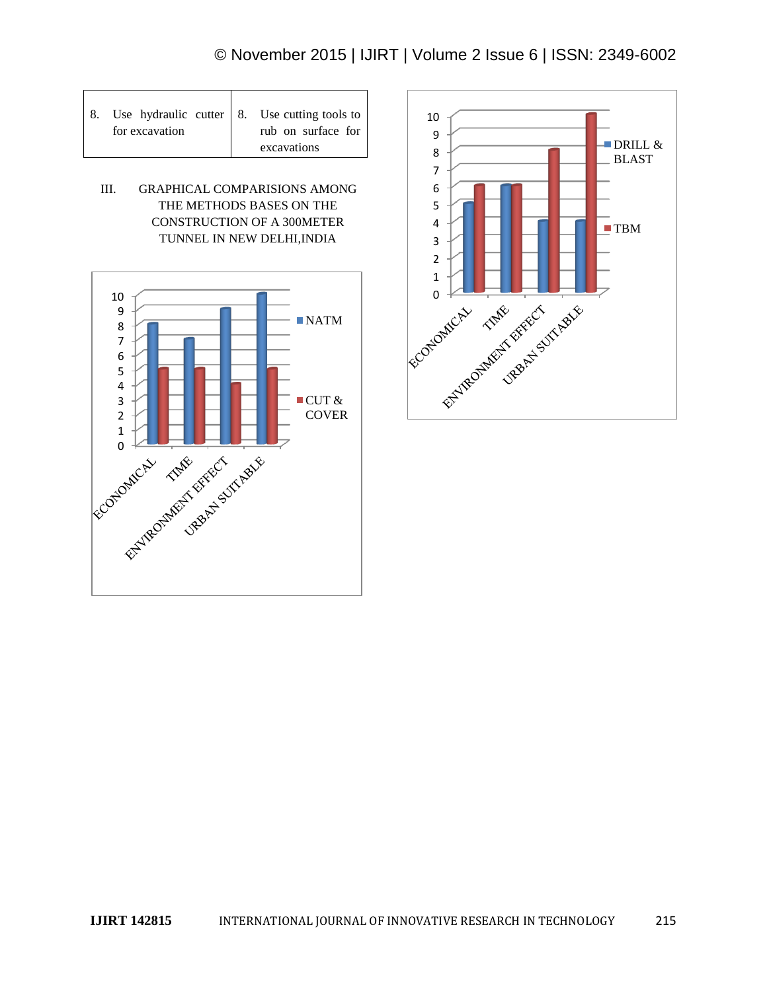| 8. Use hydraulic cutter   8. Use cutting tools to |                    |
|---------------------------------------------------|--------------------|
| for excavation                                    | rub on surface for |
|                                                   | excavations        |

Т

Г

III. GRAPHICAL COMPARISIONS AMONG THE METHODS BASES ON THE CONSTRUCTION OF A 300METER TUNNEL IN NEW DELHI,INDIA